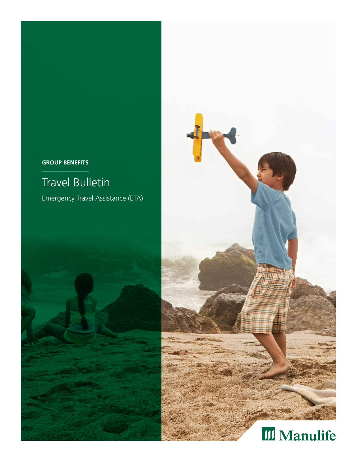## **GROUP BENEFITS**

# Travel Bulletin

Emergency Travel Assistance (ETA)





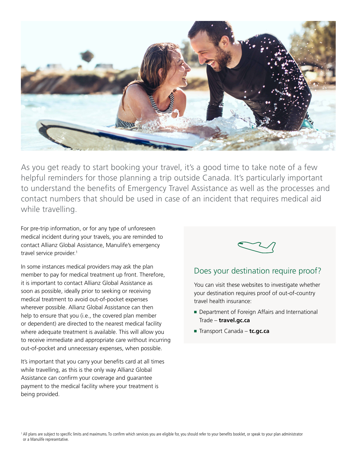

As you get ready to start booking your travel, it's a good time to take note of a few helpful reminders for those planning a trip outside Canada. It's particularly important to understand the benefits of Emergency Travel Assistance as well as the processes and contact numbers that should be used in case of an incident that requires medical aid while travelling.

For pre-trip information, or for any type of unforeseen medical incident during your travels, you are reminded to contact Allianz Global Assistance, Manulife's emergency travel service provider.<sup>1</sup>

In some instances medical providers may ask the plan member to pay for medical treatment up front. Therefore, it is important to contact Allianz Global Assistance as soon as possible, ideally prior to seeking or receiving medical treatment to avoid out-of-pocket expenses wherever possible. Allianz Global Assistance can then help to ensure that you (i.e., the covered plan member or dependent) are directed to the nearest medical facility where adequate treatment is available. This will allow you to receive immediate and appropriate care without incurring out-of-pocket and unnecessary expenses, when possible.

It's important that you carry your benefits card at all times while travelling, as this is the only way Allianz Global Assistance can confirm your coverage and guarantee payment to the medical facility where your treatment is being provided.



# Does your destination require proof?

You can visit these websites to investigate whether your destination requires proof of out-of-country travel health insurance:

- Department of Foreign Affairs and International Trade – **travel.gc.ca**
- Transport Canada **tc.gc.ca**

<sup>&</sup>lt;sup>1</sup> All plans are subject to specific limits and maximums. To confirm which services you are eligible for, you should refer to your benefits booklet, or speak to your plan administrator or a Manulife representative.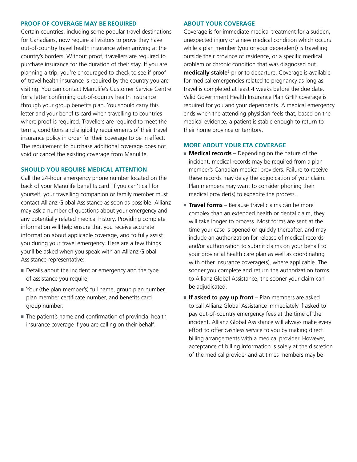#### **PROOF OF COVERAGE MAY BE REQUIRED**

Certain countries, including some popular travel destinations for Canadians, now require all visitors to prove they have out-of-country travel health insurance when arriving at the country's borders. Without proof, travellers are required to purchase insurance for the duration of their stay. If you are planning a trip, you're encouraged to check to see if proof of travel health insurance is required by the country you are visiting. You can contact Manulife's Customer Service Centre for a letter confirming out-of-country health insurance through your group benefits plan. You should carry this letter and your benefits card when travelling to countries where proof is required. Travellers are required to meet the terms, conditions and eligibility requirements of their travel insurance policy in order for their coverage to be in effect. The requirement to purchase additional coverage does not void or cancel the existing coverage from Manulife.

#### **SHOULD YOU REQUIRE MEDICAL ATTENTION**

Call the 24‑hour emergency phone number located on the back of your Manulife benefits card. If you can't call for yourself, your travelling companion or family member must contact Allianz Global Assistance as soon as possible. Allianz may ask a number of questions about your emergency and any potentially related medical history. Providing complete information will help ensure that you receive accurate information about applicable coverage, and to fully assist you during your travel emergency. Here are a few things you'll be asked when you speak with an Allianz Global Assistance representative:

- Details about the incident or emergency and the type of assistance you require,
- Your (the plan member's) full name, group plan number, plan member certificate number, and benefits card group number,
- The patient's name and confirmation of provincial health insurance coverage if you are calling on their behalf.

#### **ABOUT YOUR COVERAGE**

Coverage is for immediate medical treatment for a sudden, unexpected injury or a new medical condition which occurs while a plan member (you or your dependent) is travelling outside their province of residence, or a specific medical problem or chronic condition that was diagnosed but **medically stable**2 prior to departure. Coverage is available for medical emergencies related to pregnancy as long as travel is completed at least 4 weeks before the due date. Valid Government Health Insurance Plan GHIP coverage is required for you and your dependents. A medical emergency ends when the attending physician feels that, based on the medical evidence, a patient is stable enough to return to their home province or territory.

#### **MORE ABOUT YOUR ETA COVERAGE**

- **Medical records** Depending on the nature of the incident, medical records may be required from a plan member's Canadian medical providers. Failure to receive these records may delay the adjudication of your claim. Plan members may want to consider phoning their medical provider(s) to expedite the process.
- **Travel forms** Because travel claims can be more complex than an extended health or dental claim, they will take longer to process. Most forms are sent at the time your case is opened or quickly thereafter, and may include an authorization for release of medical records and/or authorization to submit claims on your behalf to your provincial health care plan as well as coordinating with other insurance coverage(s), where applicable. The sooner you complete and return the authorization forms to Allianz Global Assistance, the sooner your claim can be adjudicated.
- If asked to pay up front Plan members are asked to call Allianz Global Assistance immediately if asked to pay out-of-country emergency fees at the time of the incident. Allianz Global Assistance will always make every effort to offer cashless service to you by making direct billing arrangements with a medical provider. However, acceptance of billing information is solely at the discretion of the medical provider and at times members may be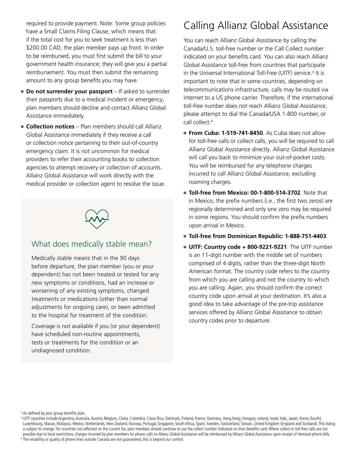required to provide payment. Note: Some group policies have a Small Claims Filing Clause, which means that if the total cost for you to seek treatment is less than \$200.00 CAD, the plan member pays up front. In order to be reimbursed, you must first submit the bill to your government health insurance; they will give you a partial reimbursement. You must then submit the remaining amount to any group benefits you may have.

- **Do not surrender your passport** If asked to surrender their passports due to a medical incident or emergency, plan members should decline and contact Allianz Global Assistance immediately.
- **Collection notices** Plan members should call Allianz Global Assistance immediately if they receive a call or collection notice pertaining to their out-of-country emergency claim. It is not uncommon for medical providers to refer their accounting books to collection agencies to attempt recovery or collection of accounts. Allianz Global Assistance will work directly with the medical provider or collection agent to resolve the issue.



## What does medically stable mean?

Medically stable means that in the 90 days before departure, the plan member (you or your dependent) has not been treated or tested for any new symptoms or conditions, had an increase or worsening of any existing symptoms, changed treatments or medications (other than normal adjustments for ongoing care), or been admitted to the hospital for treatment of the condition.

Coverage is not available if you (or your dependent) have scheduled non-routine appointments, tests or treatments for the condition or an undiagnosed condition.

# Calling Allianz Global Assistance

You can reach Allianz Global Assistance by calling the Canada/U.S. toll‑free number or the Call Collect number indicated on your benefits card. You can also reach Allianz Global Assistance toll-free from countries that participate in the Universal International Toll-Free (UITF) service.<sup>3</sup> It is important to note that in some countries, depending on telecommunications infrastructure, calls may be routed via internet to a US phone carrier. Therefore, if the international toll-free number does not reach Allianz Global Assistance, please attempt to dial the Canada/USA 1‑800 number, or call collect.4

- **From Cuba: 1-519-741-8450**. As Cuba does not allow for toll-free calls or collect calls, you will be required to call Allianz Global Assistance directly. Allianz Global Assistance will call you back to minimize your out-of-pocket costs. You will be reimbursed for any telephone charges incurred to call Allianz Global Assistance, excluding roaming charges.
- **Toll‑free from Mexico: 00‑1‑800‑514‑3702**. Note that in Mexico, the prefix numbers (i.e., the first two zeros) are regionally determined and only one zero may be required in some regions. You should confirm the prefix numbers upon arrival in Mexico.
- **Toll-free from Dominican Republic: 1-888-751-4403**.
- **UITF: Country code + 800‑9221‑9221**. The UITF number is an 11‑digit number with the middle set of numbers comprised of 4 digits, rather than the three-digit North American format. The country code refers to the country from which you are calling and not the country to which you are calling. Again, you should confirm the correct country code upon arrival at your destination. It's also a good idea to take advantage of the pre-trip assistance services offered by Allianz Global Assistance to obtain country codes prior to departure.

2 As defined by your group benefits plan.

<sup>&</sup>lt;sup>3</sup> UITF countries include Argentina, Australia, Austria, Belgium, China, Colombia, Costa Rica, Denmark, Finland, France, Germany, Hong Kong, Hungary, Ireland, Israel, Italy, Japan, Korea (South), Luxembourg, Macao, Malaysia, Mexico, Netherlands, New Zealand, Norway, Portugal, Singapore, South Africa, Spain, Sweden, Switzerland, Taiwan, United Kingdom (England and Scotland). This listing is subject to change. For countries not reflected on the current list, plan members should continue to use the collect number indicated on their benefits card. Where collect or toll-free calls are not possible due to local restrictions, charges incurred by plan members for phone calls to Allianz Global Assistance will be reimbursed by Allianz Global Assistance upon receipt of itemized phone bills. <sup>4</sup> The reliability or quality of phone lines outside Canada are not guaranteed; this is beyond our control.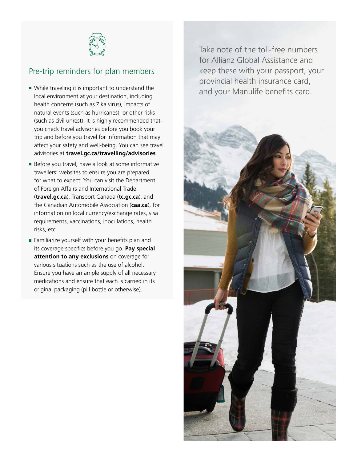

# Pre-trip reminders for plan members

- While traveling it is important to understand the local environment at your destination, including health concerns (such as Zika virus), impacts of natural events (such as hurricanes), or other risks (such as civil unrest). It is highly recommended that you check travel advisories before you book your trip and before you travel for information that may affect your safety and well-being. You can see travel advisories at **travel.gc.ca/travelling/advisories**.
- Before you travel, have a look at some informative travellers' websites to ensure you are prepared for what to expect: You can visit the Department of Foreign Affairs and International Trade (**travel.gc.ca**), Transport Canada (**tc.gc.ca**), and the Canadian Automobile Association (**caa.ca**), for information on local currency/exchange rates, visa requirements, vaccinations, inoculations, health risks, etc.
- Familiarize yourself with your benefits plan and its coverage specifics before you go. **Pay special attention to any exclusions** on coverage for various situations such as the use of alcohol. Ensure you have an ample supply of all necessary medications and ensure that each is carried in its original packaging (pill bottle or otherwise).

Take note of the toll-free numbers for Allianz Global Assistance and keep these with your passport, your provincial health insurance card, and your Manulife benefits card.